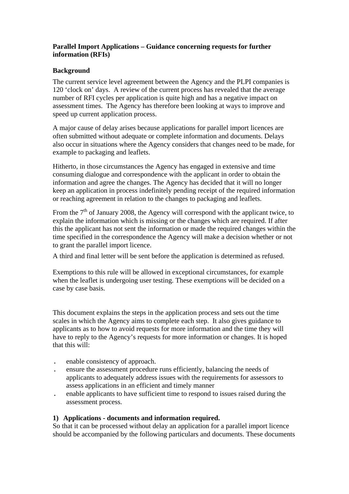# **Parallel Import Applications – Guidance concerning requests for further information (RFIs)**

#### **Background**

The current service level agreement between the Agency and the PLPI companies is 120 'clock on' days. A review of the current process has revealed that the average number of RFI cycles per application is quite high and has a negative impact on assessment times. The Agency has therefore been looking at ways to improve and speed up current application process.

A major cause of delay arises because applications for parallel import licences are often submitted without adequate or complete information and documents. Delays also occur in situations where the Agency considers that changes need to be made, for example to packaging and leaflets.

Hitherto, in those circumstances the Agency has engaged in extensive and time consuming dialogue and correspondence with the applicant in order to obtain the information and agree the changes. The Agency has decided that it will no longer keep an application in process indefinitely pending receipt of the required information or reaching agreement in relation to the changes to packaging and leaflets.

From the  $7<sup>th</sup>$  of January 2008, the Agency will correspond with the applicant twice, to explain the information which is missing or the changes which are required. If after this the applicant has not sent the information or made the required changes within the time specified in the correspondence the Agency will make a decision whether or not to grant the parallel import licence.

A third and final letter will be sent before the application is determined as refused.

Exemptions to this rule will be allowed in exceptional circumstances, for example when the leaflet is undergoing user testing. These exemptions will be decided on a case by case basis.

This document explains the steps in the application process and sets out the time scales in which the Agency aims to complete each step. It also gives guidance to applicants as to how to avoid requests for more information and the time they will have to reply to the Agency's requests for more information or changes. It is hoped that this will:

- . enable consistency of approach.
- . ensure the assessment procedure runs efficiently, balancing the needs of applicants to adequately address issues with the requirements for assessors to assess applications in an efficient and timely manner
- . enable applicants to have sufficient time to respond to issues raised during the assessment process.

#### **1) Applications - documents and information required.**

So that it can be processed without delay an application for a parallel import licence should be accompanied by the following particulars and documents. These documents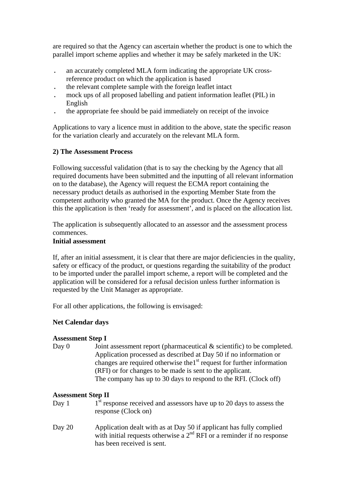are required so that the Agency can ascertain whether the product is one to which the parallel import scheme applies and whether it may be safely marketed in the UK:

- . an accurately completed MLA form indicating the appropriate UK crossreference product on which the application is based
- . the relevant complete sample with the foreign leaflet intact
- . mock ups of all proposed labelling and patient information leaflet (PIL) in English
- . the appropriate fee should be paid immediately on receipt of the invoice

Applications to vary a licence must in addition to the above, state the specific reason for the variation clearly and accurately on the relevant MLA form.

# **2) The Assessment Process**

Following successful validation (that is to say the checking by the Agency that all required documents have been submitted and the inputting of all relevant information on to the database), the Agency will request the ECMA report containing the necessary product details as authorised in the exporting Member State from the competent authority who granted the MA for the product. Once the Agency receives this the application is then 'ready for assessment', and is placed on the allocation list.

The application is subsequently allocated to an assessor and the assessment process commences.

# **Initial assessment**

If, after an initial assessment, it is clear that there are major deficiencies in the quality, safety or efficacy of the product, or questions regarding the suitability of the product to be imported under the parallel import scheme, a report will be completed and the application will be considered for a refusal decision unless further information is requested by the Unit Manager as appropriate.

For all other applications, the following is envisaged:

# **Net Calendar days**

# **Assessment Step I**

Day 0 Joint assessment report (pharmaceutical  $\&$  scientific) to be completed. Application processed as described at Day 50 if no information or changes are required otherwise the1<sup>st</sup> request for further information (RFI) or for changes to be made is sent to the applicant. The company has up to 30 days to respond to the RFI. (Clock off)

# **Assessment Step II**

- Day 1  $1<sup>st</sup>$  response received and assessors have up to 20 days to assess the response (Clock on)
- Day 20 Application dealt with as at Day 50 if applicant has fully complied with initial requests otherwise a  $2<sup>nd</sup>$  RFI or a reminder if no response has been received is sent.